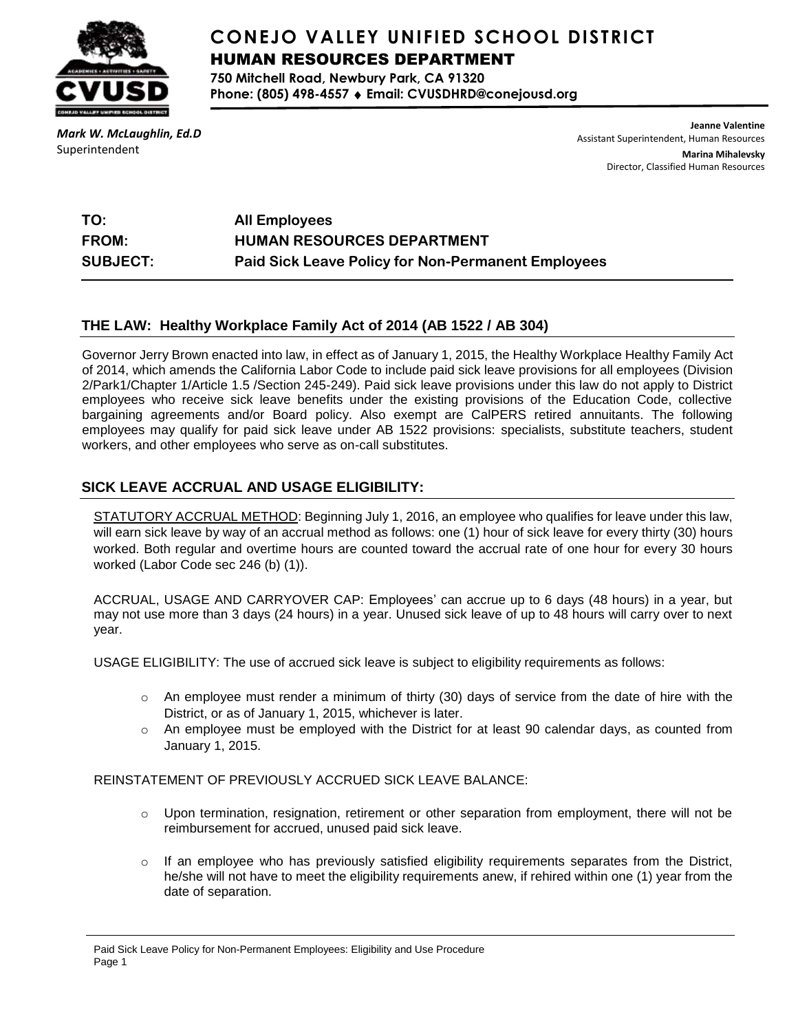

# **CONEJO VALLEY UNIFIED SCHOOL DISTRICT** HUMAN RESOURCES DEPARTMENT

**750 Mitchell Road, Newbury Park, CA 91320 Phone: (805) 498-4557 Email: CVUSDHRD@conejousd.org**

*Mark W. McLaughlin, Ed.D* Superintendent

**Jeanne Valentine** Assistant Superintendent, Human Resources **Marina Mihalevsky**

Director, Classified Human Resources

| TO:             | <b>All Employees</b>                                      |
|-----------------|-----------------------------------------------------------|
| <b>FROM:</b>    | <b>HUMAN RESOURCES DEPARTMENT</b>                         |
| <b>SUBJECT:</b> | <b>Paid Sick Leave Policy for Non-Permanent Employees</b> |

### **THE LAW: Healthy Workplace Family Act of 2014 (AB 1522 / AB 304)**

Governor Jerry Brown enacted into law, in effect as of January 1, 2015, the Healthy Workplace Healthy Family Act of 2014, which amends the California Labor Code to include paid sick leave provisions for all employees (Division 2/Park1/Chapter 1/Article 1.5 /Section 245-249). Paid sick leave provisions under this law do not apply to District employees who receive sick leave benefits under the existing provisions of the Education Code, collective bargaining agreements and/or Board policy. Also exempt are CalPERS retired annuitants. The following employees may qualify for paid sick leave under AB 1522 provisions: specialists, substitute teachers, student workers, and other employees who serve as on-call substitutes.

### **SICK LEAVE ACCRUAL AND USAGE ELIGIBILITY:**

STATUTORY ACCRUAL METHOD: Beginning July 1, 2016, an employee who qualifies for leave under this law, will earn sick leave by way of an accrual method as follows: one (1) hour of sick leave for every thirty (30) hours worked. Both regular and overtime hours are counted toward the accrual rate of one hour for every 30 hours worked (Labor Code sec 246 (b) (1)).

ACCRUAL, USAGE AND CARRYOVER CAP: Employees' can accrue up to 6 days (48 hours) in a year, but may not use more than 3 days (24 hours) in a year. Unused sick leave of up to 48 hours will carry over to next year.

USAGE ELIGIBILITY: The use of accrued sick leave is subject to eligibility requirements as follows:

- $\circ$  An employee must render a minimum of thirty (30) days of service from the date of hire with the District, or as of January 1, 2015, whichever is later.
- $\circ$  An employee must be employed with the District for at least 90 calendar days, as counted from January 1, 2015.

#### REINSTATEMENT OF PREVIOUSLY ACCRUED SICK LEAVE BALANCE:

- $\circ$  Upon termination, resignation, retirement or other separation from employment, there will not be reimbursement for accrued, unused paid sick leave.
- $\circ$  If an employee who has previously satisfied eligibility requirements separates from the District, he/she will not have to meet the eligibility requirements anew, if rehired within one (1) year from the date of separation.